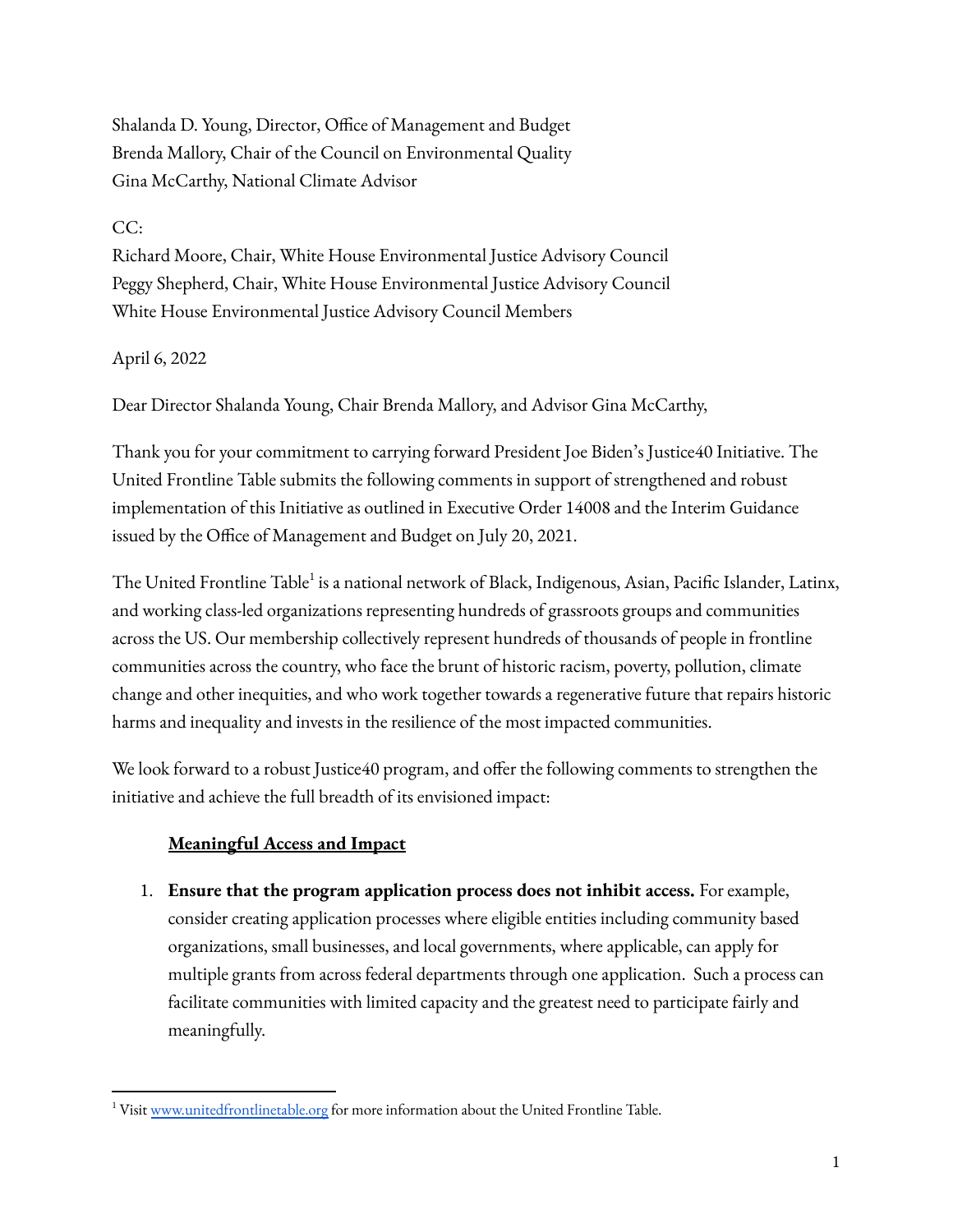Shalanda D. Young, Director, Office of Management and Budget Brenda Mallory, Chair of the Council on Environmental Quality Gina McCarthy, National Climate Advisor

## CC:

Richard Moore, Chair, White House Environmental Justice Advisory Council Peggy Shepherd, Chair, White House Environmental Justice Advisory Council White House Environmental Justice Advisory Council Members

#### April 6, 2022

Dear Director Shalanda Young, Chair Brenda Mallory, and Advisor Gina McCarthy,

Thank you for your commitment to carrying forward President Joe Biden's Justice40 Initiative. The United Frontline Table submits the following comments in support of strengthened and robust implementation of this Initiative as outlined in Executive Order 14008 and the Interim Guidance issued by the Office of Management and Budget on July 20, 2021.

The United Frontline Table<sup>1</sup> is a national network of Black, Indigenous, Asian, Pacific Islander, Latinx, and working class-led organizations representing hundreds of grassroots groups and communities across the US. Our membership collectively represent hundreds of thousands of people in frontline communities across the country, who face the brunt of historic racism, poverty, pollution, climate change and other inequities, and who work together towards a regenerative future that repairs historic harms and inequality and invests in the resilience of the most impacted communities.

We look forward to a robust Justice40 program, and offer the following comments to strengthen the initiative and achieve the full breadth of its envisioned impact:

# **Meaningful Access and Impact**

1. **Ensure that the program application process does not inhibit access.** For example, consider creating application processes where eligible entities including community based organizations, small businesses, and local governments, where applicable, can apply for multiple grants from across federal departments through one application. Such a process can facilitate communities with limited capacity and the greatest need to participate fairly and meaningfully.

<sup>&</sup>lt;sup>1</sup> Visit [www.unitedfrontlinetable.org](http://www.unitedfrontlinetable.org) for more information about the United Frontline Table.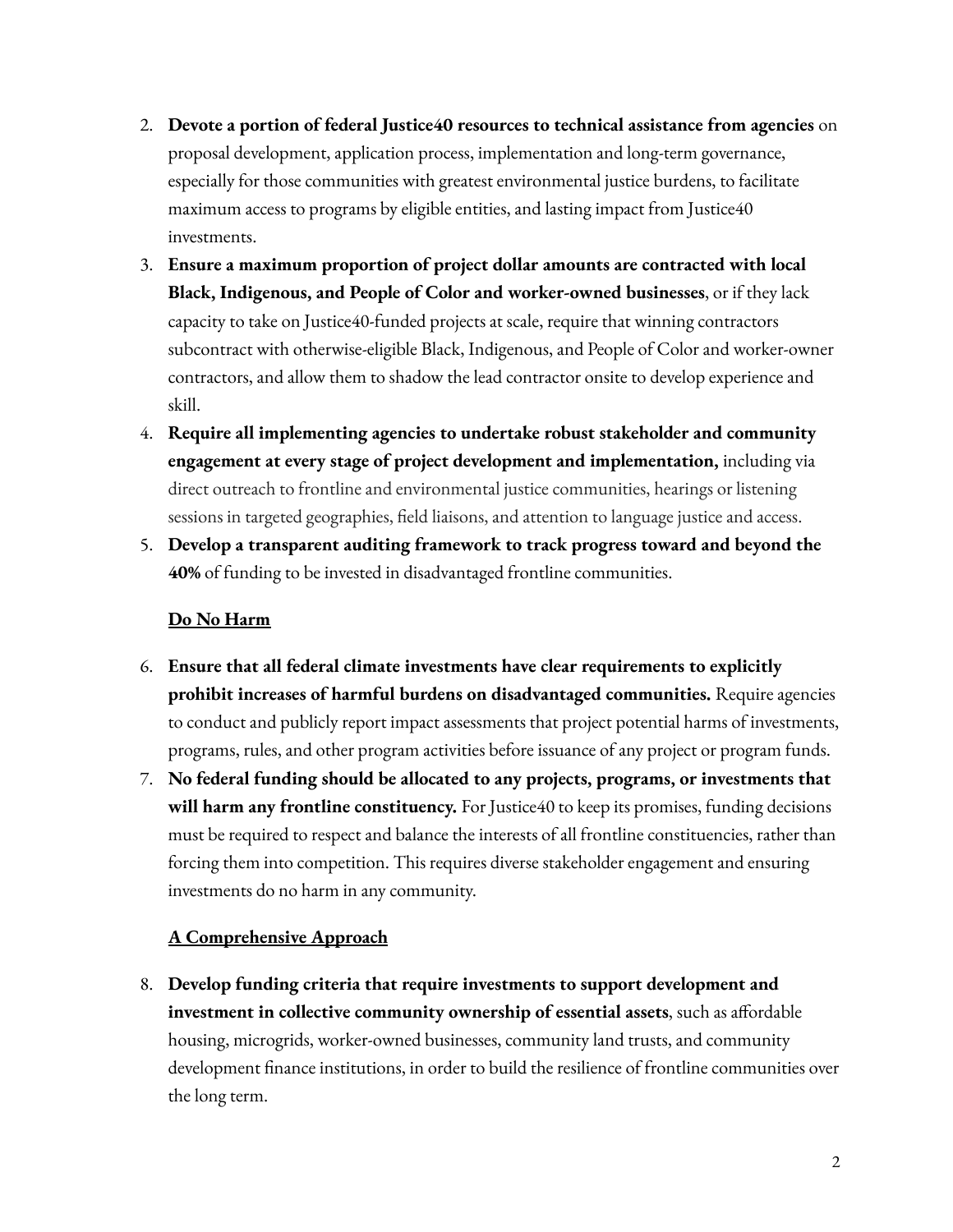- 2. **Devote a portion of federal Justice40 resources to technical assistance from agencies** on proposal development, application process, implementation and long-term governance, especially for those communities with greatest environmental justice burdens, to facilitate maximum access to programs by eligible entities, and lasting impact from Justice40 investments.
- 3. **Ensure a maximum proportion of project dollar amounts are contracted with local Black, Indigenous, and People of Color and worker-owned businesses**, or if they lack capacity to take on Justice40-funded projects at scale, require that winning contractors subcontract with otherwise-eligible Black, Indigenous, and People of Color and worker-owner contractors, and allow them to shadow the lead contractor onsite to develop experience and skill.
- 4. **Require all implementing agencies to undertake robust stakeholder and community engagement at every stage of project development and implementation,** including via direct outreach to frontline and environmental justice communities, hearings or listening sessions in targeted geographies, field liaisons, and attention to language justice and access.
- 5. **Develop a transparent auditing framework to track progress toward and beyond the 40%** of funding to be invested in disadvantaged frontline communities.

## **Do No Harm**

- 6. **Ensure that all federal climate investments have clear requirements to explicitly prohibit increases of harmful burdens on disadvantaged communities.** Require agencies to conduct and publicly report impact assessments that project potential harms of investments, programs, rules, and other program activities before issuance of any project or program funds.
- 7. **No federal funding should be allocated to any projects, programs, or investments that will harm any frontline constituency.** For Justice40 to keep its promises, funding decisions must be required to respect and balance the interests of all frontline constituencies, rather than forcing them into competition. This requires diverse stakeholder engagement and ensuring investments do no harm in any community.

# **A Comprehensive Approach**

8. **Develop funding criteria that require investments to support development and investment in collective community ownership of essential assets**, such as affordable housing, microgrids, worker-owned businesses, community land trusts, and community development finance institutions, in order to build the resilience of frontline communities over the long term.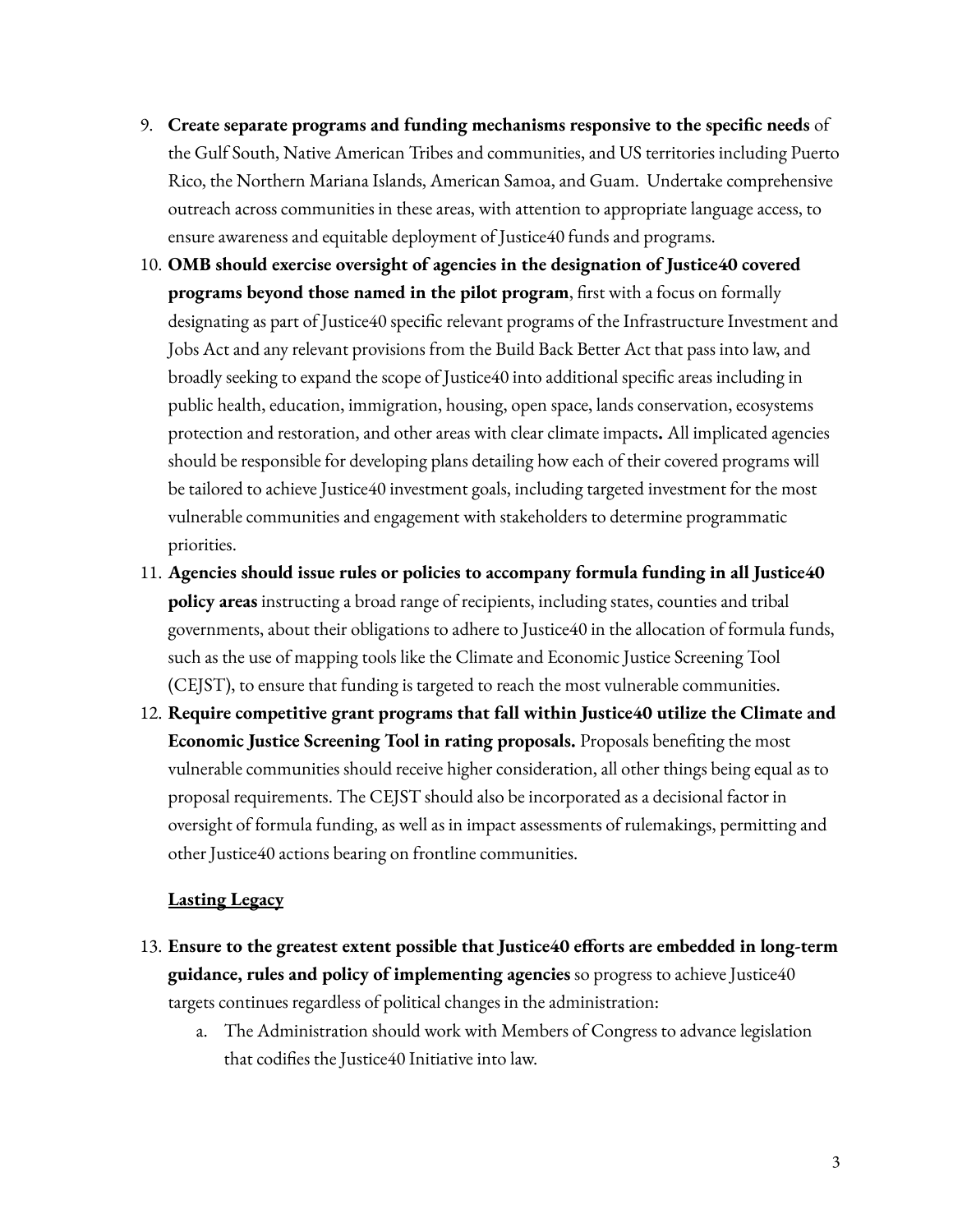- 9. **Create separate programs and funding mechanisms responsive to the specific needs** of the Gulf South, Native American Tribes and communities, and US territories including Puerto Rico, the Northern Mariana Islands, American Samoa, and Guam. Undertake comprehensive outreach across communities in these areas, with attention to appropriate language access, to ensure awareness and equitable deployment of Justice40 funds and programs.
- 10. **OMB should exercise oversight of agencies in the designation of Justice40 covered programs beyond those named in the pilot program**, first with a focus on formally designating as part of Justice40 specific relevant programs of the Infrastructure Investment and Jobs Act and any relevant provisions from the Build Back Better Act that pass into law, and broadly seeking to expand the scope of Justice40 into additional specific areas including in public health, education, immigration, housing, open space, lands conservation, ecosystems protection and restoration, and other areas with clear climate impacts**.** All implicated agencies should be responsible for developing plans detailing how each of their covered programs will be tailored to achieve Justice40 investment goals, including targeted investment for the most vulnerable communities and engagement with stakeholders to determine programmatic priorities.
- 11. **Agencies should issue rules or policies to accompany formula funding in all Justice40 policy areas** instructing a broad range of recipients, including states, counties and tribal governments, about their obligations to adhere to Justice40 in the allocation of formula funds, such as the use of mapping tools like the Climate and Economic Justice Screening Tool (CEJST), to ensure that funding is targeted to reach the most vulnerable communities.
- 12. **Require competitive grant programs that fall within Justice40 utilize the Climate and Economic Justice Screening Tool in rating proposals.** Proposals benefiting the most vulnerable communities should receive higher consideration, all other things being equal as to proposal requirements. The CEJST should also be incorporated as a decisional factor in oversight of formula funding, as well as in impact assessments of rulemakings, permitting and other Justice40 actions bearing on frontline communities.

#### **Lasting Legacy**

- 13. **Ensure to the greatest extent possible that Justice40 efforts are embedded in long-term guidance, rules and policy of implementing agencies** so progress to achieve Justice40 targets continues regardless of political changes in the administration:
	- a. The Administration should work with Members of Congress to advance legislation that codifies the Justice40 Initiative into law.